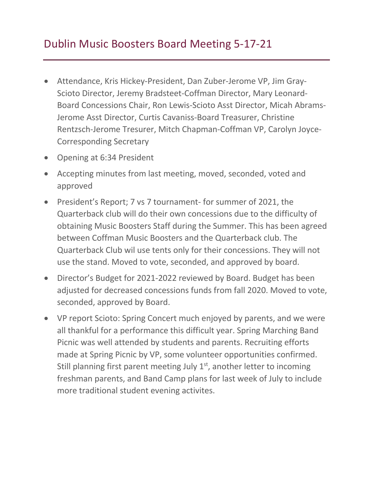- Attendance, Kris Hickey-President, Dan Zuber-Jerome VP, Jim Gray-Scioto Director, Jeremy Bradsteet-Coffman Director, Mary Leonard-Board Concessions Chair, Ron Lewis-Scioto Asst Director, Micah Abrams-Jerome Asst Director, Curtis Cavaniss-Board Treasurer, Christine Rentzsch-Jerome Tresurer, Mitch Chapman-Coffman VP, Carolyn Joyce-Corresponding Secretary
- Opening at 6:34 President
- Accepting minutes from last meeting, moved, seconded, voted and approved
- President's Report; 7 vs 7 tournament- for summer of 2021, the Quarterback club will do their own concessions due to the difficulty of obtaining Music Boosters Staff during the Summer. This has been agreed between Coffman Music Boosters and the Quarterback club. The Quarterback Club wil use tents only for their concessions. They will not use the stand. Moved to vote, seconded, and approved by board.
- Director's Budget for 2021-2022 reviewed by Board. Budget has been adjusted for decreased concessions funds from fall 2020. Moved to vote, seconded, approved by Board.
- VP report Scioto: Spring Concert much enjoyed by parents, and we were all thankful for a performance this difficult year. Spring Marching Band Picnic was well attended by students and parents. Recruiting efforts made at Spring Picnic by VP, some volunteer opportunities confirmed. Still planning first parent meeting July  $1<sup>st</sup>$ , another letter to incoming freshman parents, and Band Camp plans for last week of July to include more traditional student evening activites.